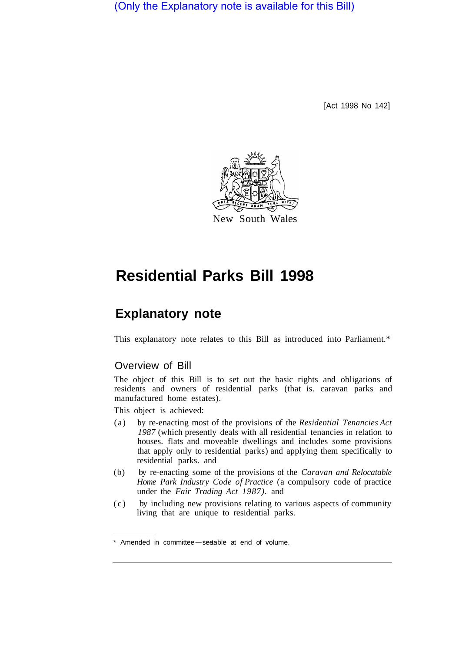(Only the Explanatory note is available for this Bill)

[Act 1998 No 142]



# **Residential Parks Bill 1998**

## **Explanatory note**

This explanatory note relates to this Bill as introduced into Parliament.\*

## Overview of Bill

The object of this Bill is to set out the basic rights and obligations of residents and owners of residential parks (that is. caravan parks and manufactured home estates).

This object is achieved:

- (a) by re-enacting most of the provisions of the *Residential Tenancies Act 1987* (which presently deals with all residential tenancies in relation to houses. flats and moveable dwellings and includes some provisions that apply only to residential parks) and applying them specifically to residential parks. and
- (b) by re-enacting some of the provisions of the *Caravan and Relocatable Home Park Industry Code of Practice* (a compulsory code of practice under the *Fair Trading Act 1987).* and
- (c) by including new provisions relating to various aspects of community living that are unique to residential parks.

<sup>\*</sup> Amended in committee-see table at end of volume.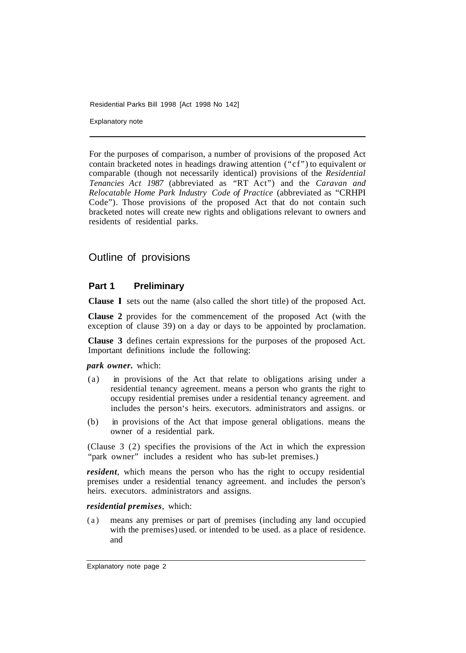Explanatory note

For the purposes of comparison, a number of provisions of the proposed Act contain bracketed notes in headings drawing attention ("cf") to equivalent or comparable (though not necessarily identical) provisions of the *Residential Tenancies Act 1987* (abbreviated as "RT Act") and the *Caravan and Relocatable Home Park Industry Code of Practice* (abbreviated as "CRHPI Code"). Those provisions of the proposed Act that do not contain such bracketed notes will create new rights and obligations relevant to owners and residents of residential parks.

## Outline of provisions

#### **Part 1 Preliminary**

**Clause l** sets out the name (also called the short title) of the proposed Act.

**Clause 2** provides for the commencement of the proposed Act (with the exception of clause 39) on a day or days to be appointed by proclamation.

**Clause 3** defines certain expressions for the purposes of the proposed Act. Important definitions include the following:

*park owner.* which:

- (a) in provisions of the Act that relate to obligations arising under a residential tenancy agreement. means a person who grants the right to occupy residential premises under a residential tenancy agreement. and includes the person's heirs. executors. administrators and assigns. or
- (b) in provisions of the Act that impose general obligations. means the owner of a residential park.

(Clause 3 (2) specifies the provisions of the Act in which the expression "park owner" includes a resident who has sub-let premises.)

*resident*, which means the person who has the right to occupy residential premises under a residential tenancy agreement. and includes the person's heirs. executors. administrators and assigns.

*residential premises*, which:

(a) means any premises or part of premises (including any land occupied with the premises) used. or intended to be used. as a place of residence. and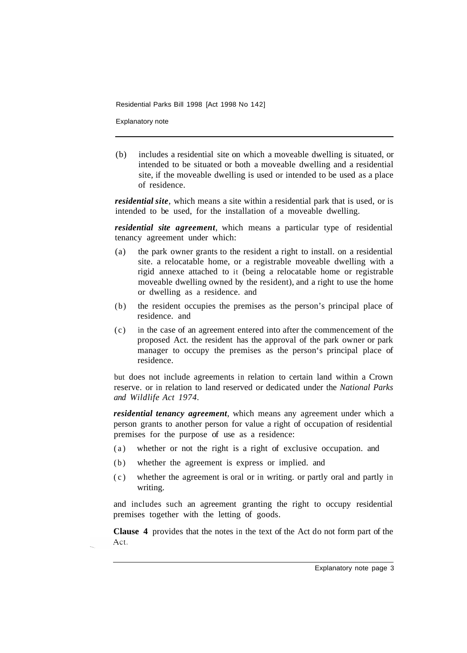Explanatory note

(b) includes a residential site on which a moveable dwelling is situated, or intended to be situated or both a moveable dwelling and a residential site, if the moveable dwelling is used or intended to be used as a place of residence.

*residential site*, which means a site within a residential park that is used, or is intended to be used, for the installation of a moveable dwelling.

*residential site agreement*, which means a particular type of residential tenancy agreement under which:

- (a) the park owner grants to the resident a right to install. on a residential site. a relocatable home, or a registrable moveable dwelling with a rigid annexe attached to it (being a relocatable home or registrable moveable dwelling owned by the resident), and a right to use the home or dwelling as a residence. and
- (b) the resident occupies the premises as the person's principal place of residence. and
- (c) in the case of an agreement entered into after the commencement of the proposed Act. the resident has the approval of the park owner or park manager to occupy the premises as the person's principal place of residence.

but does not include agreements in relation to certain land within a Crown reserve. or in relation to land reserved or dedicated under the *National Parks and Wildlife Act 1974.* 

*residential tenancy agreement*, which means any agreement under which a person grants to another person for value a right of occupation of residential premises for the purpose of use as a residence:

- (a) whether or not the right is a right of exclusive occupation. and
- (b) whether the agreement is express or implied. and
- (c) whether the agreement is oral or in writing. or partly oral and partly in writing.

and includes such an agreement granting the right to occupy residential premises together with the letting of goods.

**Clause 4** provides that the notes in the text of the Act do not form part of the Act.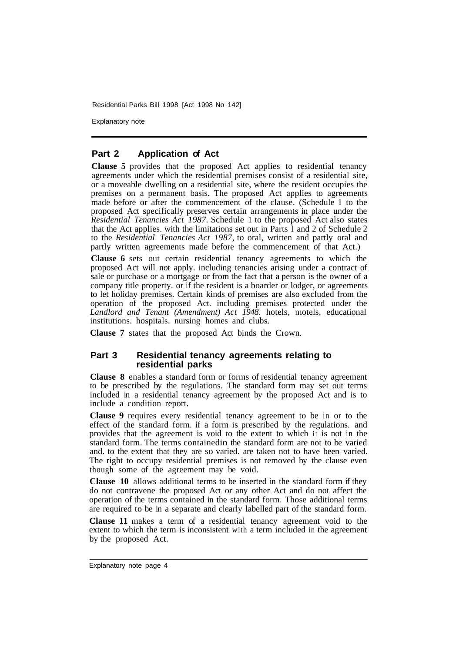Explanatory note

#### **Part 2 Application of Act**

**Clause 5** provides that the proposed Act applies to residential tenancy agreements under which the residential premises consist of a residential site, or a moveable dwelling on a residential site, where the resident occupies the premises on a permanent basis. The proposed Act applies to agreements made before or after the commencement of the clause. (Schedule l to the proposed Act specifically preserves certain arrangements in place under the *Residential Tenancies Act 1987.* Schedule 1 to the proposed Act also states that the Act applies. with the limitations set out in Parts  $\hat{1}$  and 2 of Schedule 2 to the *Residential Tenancies Act 1987,* to oral, written and partly oral and partly written agreements made before the commencement of that Act.)

**Clause 6** sets out certain residential tenancy agreements to which the proposed Act will not apply. including tenancies arising under a contract of sale or purchase or a mortgage or from the fact that a person is the owner of a company title property. or if the resident is a boarder or lodger, or agreements to let holiday premises. Certain kinds of premises are also excluded from the operation of the proposed Act. including premises protected under the *Landlord and Tenant (Amendment) Act 1948.* hotels, motels, educational institutions. hospitals. nursing homes and clubs.

**Clause 7** states that the proposed Act binds the Crown.

#### **Part 3 Residential tenancy agreements relating to residential parks**

**Clause 8** enables a standard form or forms of residential tenancy agreement to be prescribed by the regulations. The standard form may set out terms included in a residential tenancy agreement by the proposed Act and is to include a condition report.

**Clause 9** requires every residential tenancy agreement to be in or to the effect of the standard form. if a form is prescribed by the regulations. and provides that the agreement is void to the extent to which it is not in the standard form. The terms contained in the standard form are not to be varied and. to the extent that they are so varied. are taken not to have been varied. The right to occupy residential premises is not removed by the clause even though some of the agreement may be void.

**Clause 10** allows additional terms to be inserted in the standard form if they do not contravene the proposed Act or any other Act and do not affect the operation of the terms contained in the standard form. Those additional terms are required to be in a separate and clearly labelled part of the standard form.

**Clause 11** makes a term of a residential tenancy agreement void to the extent to which the term is inconsistent with a term included in the agreement by the proposed Act.

Explanatory note page 4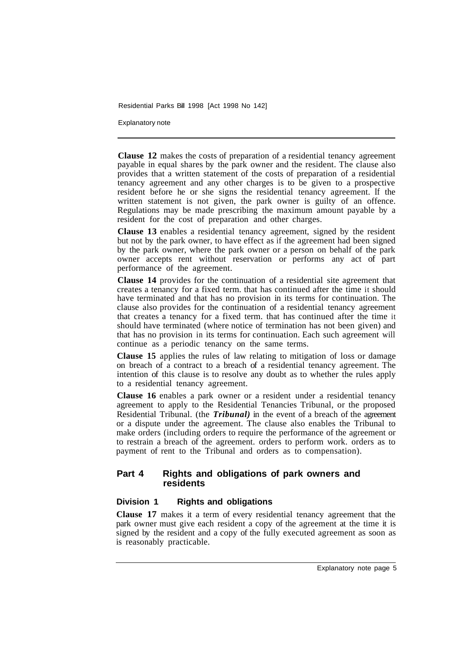Explanatory note

**Clause 12** makes the costs of preparation of a residential tenancy agreement payable in equal shares by the park owner and the resident. The clause also provides that a written statement of the costs of preparation of a residential tenancy agreement and any other charges is to be given to a prospective resident before he or she signs the residential tenancy agreement. If the written statement is not given, the park owner is guilty of an offence. Regulations may be made prescribing the maximum amount payable by a resident for the cost of preparation and other charges.

**Clause 13** enables a residential tenancy agreement, signed by the resident but not by the park owner, to have effect as if the agreement had been signed by the park owner, where the park owner or a person on behalf of the park owner accepts rent without reservation or performs any act of part performance of the agreement.

**Clause 14** provides for the continuation of a residential site agreement that creates a tenancy for a fixed term. that has continued after the time it should have terminated and that has no provision in its terms for continuation. The clause also provides for the continuation of a residential tenancy agreement that creates a tenancy for a fixed term. that has continued after the time it should have terminated (where notice of termination has not been given) and that has no provision in its terms for continuation. Each such agreement will continue as a periodic tenancy on the same terms.

**Clause 15** applies the rules of law relating to mitigation of loss or damage on breach of a contract to a breach of a residential tenancy agreement. The intention of this clause is to resolve any doubt as to whether the rules apply to a residential tenancy agreement.

**Clause 16** enables a park owner or a resident under a residential tenancy agreement to apply to the Residential Tenancies Tribunal, or the proposed Residential Tribunal. (the *Tribunal)* in the event of a breach of the agreement or a dispute under the agreement. The clause also enables the Tribunal to make orders (including orders to require the performance of the agreement or to restrain a breach of the agreement. orders to perform work. orders as to payment of rent to the Tribunal and orders as to compensation).

#### **Part 4 Rights and obligations of park owners and residents**

#### **Division 1 Rights and obligations**

**Clause 17** makes it a term of every residential tenancy agreement that the park owner must give each resident a copy of the agreement at the time it is signed by the resident and a copy of the fully executed agreement as soon as is reasonably practicable.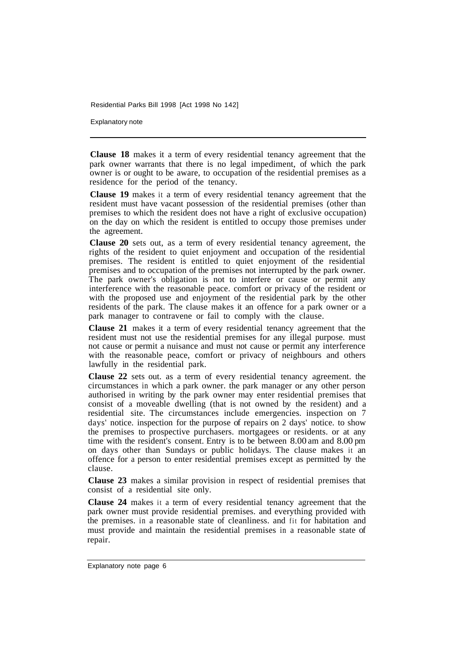Explanatory note

**Clause 18** makes it a term of every residential tenancy agreement that the park owner warrants that there is no legal impediment, of which the park owner is or ought to be aware, to occupation of the residential premises as a residence for the period of the tenancy.

**Clause 19** makes it a term of every residential tenancy agreement that the resident must have vacant possession of the residential premises (other than premises to which the resident does not have a right of exclusive occupation) on the day on which the resident is entitled to occupy those premises under the agreement.

**Clause 20** sets out, as a term of every residential tenancy agreement, the rights of the resident to quiet enjoyment and occupation of the residential premises. The resident is entitled to quiet enjoyment of the residential premises and to occupation of the premises not interrupted by the park owner. The park owner's obligation is not to interfere or cause or permit any interference with the reasonable peace. comfort or privacy of the resident or with the proposed use and enjoyment of the residential park by the other residents of the park. The clause makes it an offence for a park owner or a park manager to contravene or fail to comply with the clause.

**Clause 21** makes it a term of every residential tenancy agreement that the resident must not use the residential premises for any illegal purpose. must not cause or permit a nuisance and must not cause or permit any interference with the reasonable peace, comfort or privacy of neighbours and others lawfully in the residential park.

**Clause 22** sets out. as a term of every residential tenancy agreement. the circumstances in which a park owner. the park manager or any other person authorised in writing by the park owner may enter residential premises that consist of a moveable dwelling (that is not owned by the resident) and a residential site. The circumstances include emergencies. inspection on 7 days' notice. inspection for the purpose of repairs on 2 days' notice. to show the premises to prospective purchasers. mortgagees or residents. or at any time with the resident's consent. Entry is to be between 8.00 am and 8.00 pm on days other than Sundays or public holidays. The clause makes it an offence for a person to enter residential premises except as permitted by the clause.

**Clause 23** makes a similar provision in respect of residential premises that consist of a residential site only.

**Clause 24** makes it a term of every residential tenancy agreement that the park owner must provide residential premises. and everything provided with the premises. in a reasonable state of cleanliness. and fit for habitation and must provide and maintain the residential premises in a reasonable state of repair.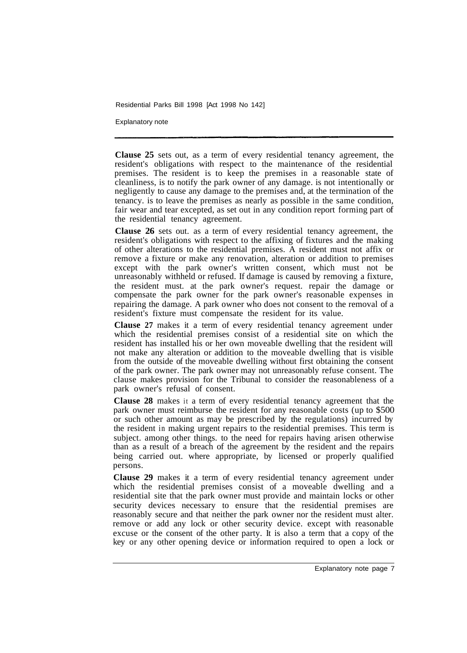Explanatory note

**Clause 25** sets out, as a term of every residential tenancy agreement, the resident's obligations with respect to the maintenance of the residential premises. The resident is to keep the premises in a reasonable state of cleanliness, is to notify the park owner of any damage. is not intentionally or negligently to cause any damage to the premises and, at the termination of the tenancy. is to leave the premises as nearly as possible in the same condition, fair wear and tear excepted, as set out in any condition report forming part of the residential tenancy agreement.

**Clause 26** sets out. as a term of every residential tenancy agreement, the resident's obligations with respect to the affixing of fixtures and the making of other alterations to the residential premises. A resident must not affix or remove a fixture or make any renovation, alteration or addition to premises except with the park owner's written consent, which must not be unreasonably withheld or refused. If damage is caused by removing a fixture, the resident must. at the park owner's request. repair the damage or compensate the park owner for the park owner's reasonable expenses in repairing the damage. A park owner who does not consent to the removal of a resident's fixture must compensate the resident for its value.

**Clause 27** makes it a term of every residential tenancy agreement under which the residential premises consist of a residential site on which the resident has installed his or her own moveable dwelling that the resident will not make any alteration or addition to the moveable dwelling that is visible from the outside of the moveable dwelling without first obtaining the consent of the park owner. The park owner may not unreasonably refuse consent. The clause makes provision for the Tribunal to consider the reasonableness of a park owner's refusal of consent.

**Clause 28** makes it a term of every residential tenancy agreement that the park owner must reimburse the resident for any reasonable costs (up to \$500 or such other amount as may be prescribed by the regulations) incurred by the resident in making urgent repairs to the residential premises. This term is subject. among other things. to the need for repairs having arisen otherwise than as a result of a breach of the agreement by the resident and the repairs being carried out. where appropriate, by licensed or properly qualified persons.

**Clause 29** makes it a term of every residential tenancy agreement under which the residential premises consist of a moveable dwelling and a residential site that the park owner must provide and maintain locks or other security devices necessary to ensure that the residential premises are reasonably secure and that neither the park owner nor the resident must alter. remove or add any lock or other security device. except with reasonable excuse or the consent of the other party. It is also a term that a copy of the key or any other opening device or information required to open a lock or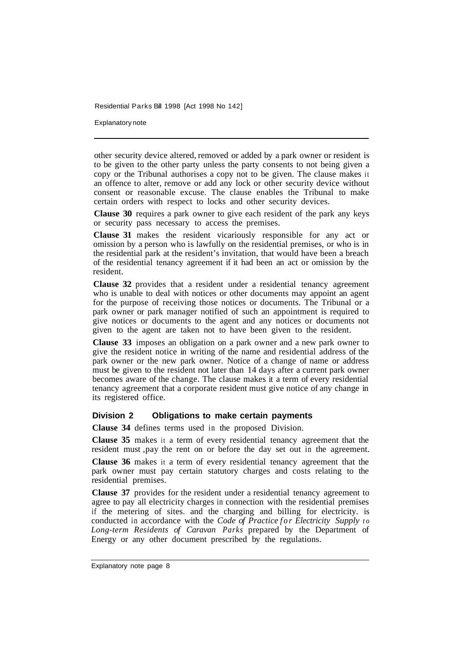Explanatory note

other security device altered, removed or added by a park owner or resident is to be given to the other party unless the party consents to not being given a copy or the Tribunal authorises a copy not to be given. The clause makes it an offence to alter, remove or add any lock or other security device without consent or reasonable excuse. The clause enables the Tribunal to make certain orders with respect to locks and other security devices.

**Clause 30** requires a park owner to give each resident of the park any keys or security pass necessary to access the premises.

**Clause 31** makes the resident vicariously responsible for any act or omission by a person who is lawfully on the residential premises, or who is in the residential park at the resident's invitation, that would have been a breach of the residential tenancy agreement if it had been an act or omission by the resident.

**Clause 32** provides that a resident under a residential tenancy agreement who is unable to deal with notices or other documents may appoint an agent for the purpose of receiving those notices or documents. The Tribunal or a park owner or park manager notified of such an appointment is required to give notices or documents to the agent and any notices or documents not given to the agent are taken not to have been given to the resident.

**Clause 33** imposes an obligation on a park owner and a new park owner to give the resident notice in writing of the name and residential address of the park owner or the new park owner. Notice of a change of name or address must be given to the resident not later than 14 days after a current park owner becomes aware of the change. The clause makes it a term of every residential tenancy agreement that a corporate resident must give notice of any change in its registered office.

#### **Division 2 Obligations to make certain payments**

**Clause 34** defines terms used in the proposed Division.

**Clause 35** makes it a term of every residential tenancy agreement that the resident must ,pay the rent on or before the day set out in the agreement.

**Clause 36** makes it a term of every residential tenancy agreement that the park owner must pay certain statutory charges and costs relating to the residential premises.

**Clause 37** provides for the resident under a residential tenancy agreement to agree to pay all electricity charges in connection with the residential premises if the metering of sites. and the charging and billing for electricity. is conducted in accordance with the *Code of Practice for Electricity Supply to Long-term Residents of Caravan Parks* prepared by the Department of Energy or any other document prescribed by the regulations.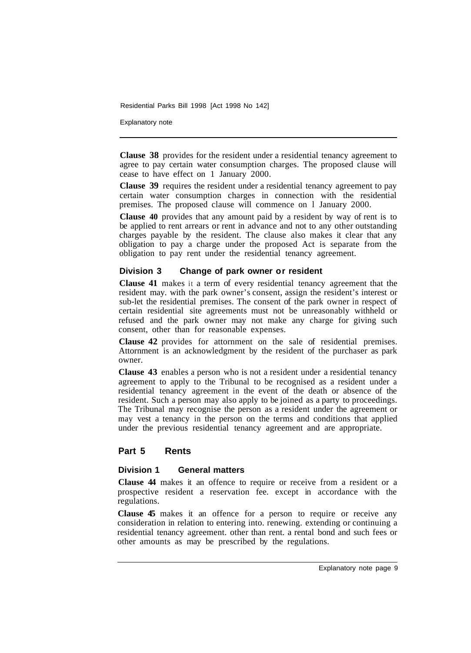Explanatory note

**Clause 38** provides for the resident under a residential tenancy agreement to agree to pay certain water consumption charges. The proposed clause will cease to have effect on 1 January 2000.

**Clause 39** requires the resident under a residential tenancy agreement to pay certain water consumption charges in connection with the residential premises. The proposed clause will commence on l January 2000.

**Clause 40** provides that any amount paid by a resident by way of rent is to be applied to rent arrears or rent in advance and not to any other outstanding charges payable by the resident. The clause also makes it clear that any obligation to pay a charge under the proposed Act is separate from the obligation to pay rent under the residential tenancy agreement.

#### **Division 3 Change of park owner or resident**

**Clause 41** makes it a term of every residential tenancy agreement that the resident may. with the park owner's consent, assign the resident's interest or sub-let the residential premises. The consent of the park owner in respect of certain residential site agreements must not be unreasonably withheld or refused and the park owner may not make any charge for giving such consent, other than for reasonable expenses.

**Clause 42** provides for attornment on the sale of residential premises. Attornment is an acknowledgment by the resident of the purchaser as park owner.

**Clause 43** enables a person who is not a resident under a residential tenancy agreement to apply to the Tribunal to be recognised as a resident under a residential tenancy agreement in the event of the death or absence of the resident. Such a person may also apply to be joined as a party to proceedings. The Tribunal may recognise the person as a resident under the agreement or may vest a tenancy in the person on the terms and conditions that applied under the previous residential tenancy agreement and are appropriate.

#### **Part 5 Rents**

#### **Division 1 General matters**

**Clause 44** makes it an offence to require or receive from a resident or a prospective resident a reservation fee. except in accordance with the regulations.

**Clause 45** makes it an offence for a person to require or receive any consideration in relation to entering into. renewing. extending or continuing a residential tenancy agreement. other than rent. a rental bond and such fees or other amounts as may be prescribed by the regulations.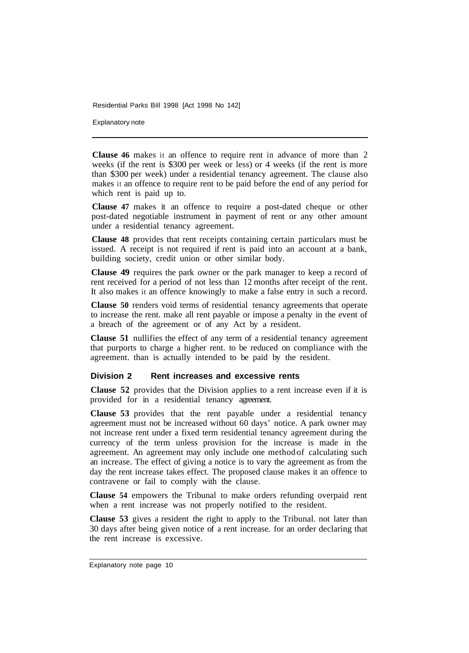Explanatory note

**Clause 46** makes it an offence to require rent in advance of more than 2 weeks (if the rent is \$300 per week or less) or 4 weeks (if the rent is more than \$300 per week) under a residential tenancy agreement. The clause also makes it an offence to require rent to be paid before the end of any period for which rent is paid up to.

**Clause 47** makes it an offence to require a post-dated cheque or other post-dated negotiable instrument in payment of rent or any other amount under a residential tenancy agreement.

**Clause 48** provides that rent receipts containing certain particulars must be issued. A receipt is not required if rent is paid into an account at a bank, building society, credit union or other similar body.

**Clause 49** requires the park owner or the park manager to keep a record of rent received for a period of not less than 12 months after receipt of the rent. It also makes it an offence knowingly to make a false entry in such a record.

**Clause 50** renders void terms of residential tenancy agreements that operate to increase the rent. make all rent payable or impose a penalty in the event of a breach of the agreement or of any Act by a resident.

**Clause 51** nullifies the effect of any term of a residential tenancy agreement that purports to charge a higher rent. to be reduced on compliance with the agreement. than is actually intended to be paid by the resident.

#### **Division 2 Rent increases and excessive rents**

**Clause 52** provides that the Division applies to a rent increase even if it is provided for in a residential tenancy agreement.

**Clause 53** provides that the rent payable under a residential tenancy agreement must not be increased without 60 days' notice. A park owner may not increase rent under a fixed term residential tenancy agreement during the currency of the term unless provision for the increase is made in the agreement. An agreement may only include one method-of calculating such an increase. The effect of giving a notice is to vary the agreement as from the day the rent increase takes effect. The proposed clause makes it an offence to contravene or fail to comply with the clause.

**Clause 54** empowers the Tribunal to make orders refunding overpaid rent when a rent increase was not properly notified to the resident.

**Clause 53** gives a resident the right to apply to the Tribunal. not later than 30 days after being given notice of a rent increase. for an order declaring that the rent increase is excessive.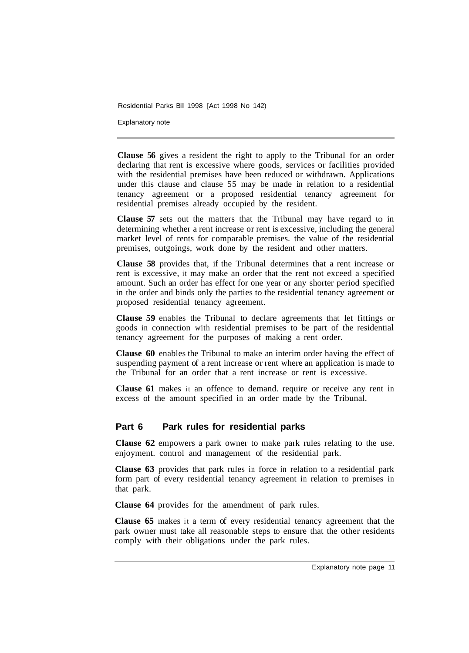Explanatory note

**Clause 56** gives a resident the right to apply to the Tribunal for an order declaring that rent is excessive where goods, services or facilities provided with the residential premises have been reduced or withdrawn. Applications under this clause and clause 55 may be made in relation to a residential tenancy agreement or a proposed residential tenancy agreement for residential premises already occupied by the resident.

**Clause 57** sets out the matters that the Tribunal may have regard to in determining whether a rent increase or rent is excessive, including the general market level of rents for comparable premises. the value of the residential premises, outgoings, work done by the resident and other matters.

**Clause 58** provides that, if the Tribunal determines that a rent increase or rent is excessive, it may make an order that the rent not exceed a specified amount. Such an order has effect for one year or any shorter period specified in the order and binds only the parties to the residential tenancy agreement or proposed residential tenancy agreement.

**Clause 59** enables the Tribunal to declare agreements that let fittings or goods in connection with residential premises to be part of the residential tenancy agreement for the purposes of making a rent order.

**Clause 60** enables the Tribunal to make an interim order having the effect of suspending payment of a rent increase or rent where an application is made to the Tribunal for an order that a rent increase or rent is excessive.

**Clause 61** makes it an offence to demand. require or receive any rent in excess of the amount specified in an order made by the Tribunal.

#### **Part 6 Park rules for residential parks**

**Clause 62** empowers a park owner to make park rules relating to the use. enjoyment. control and management of the residential park.

**Clause 63** provides that park rules in force in relation to a residential park form part of every residential tenancy agreement in relation to premises in that park.

**Clause 64** provides for the amendment of park rules.

**Clause 65** makes it a term of every residential tenancy agreement that the park owner must take all reasonable steps to ensure that the other residents comply with their obligations under the park rules.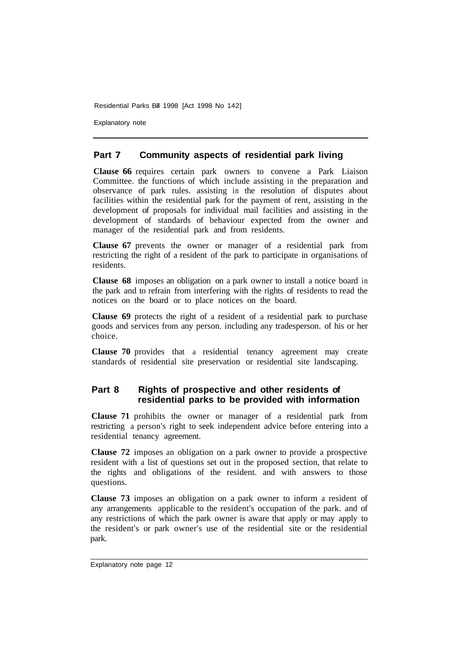Explanatory note

#### **Part 7 Community aspects of residential park living**

**Clause 66** requires certain park owners to convene a Park Liaison Committee. the functions of which include assisting in the preparation and observance of park rules. assisting in the resolution of disputes about facilities within the residential park for the payment of rent, assisting in the development of proposals for individual mail facilities and assisting in the development of standards of behaviour expected from the owner and manager of the residential park and from residents.

**Clause 67** prevents the owner or manager of a residential park from restricting the right of a resident of the park to participate in organisations of residents.

**Clause 68** imposes an obligation on a park owner to install a notice board in the park and to refrain from interfering with the rights of residents to read the notices on the board or to place notices on the board.

**Clause 69** protects the right of a resident of a residential park to purchase goods and services from any person. including any tradesperson. of his or her choice.

**Clause 70** provides that a residential tenancy agreement may create standards of residential site preservation or residential site landscaping.

#### **Part 8 Rights of prospective and other residents of residential parks to be provided with information**

**Clause 71** prohibits the owner or manager of a residential park from restricting a person's right to seek independent advice before entering into a residential tenancy agreement.

**Clause 72** imposes an obligation on a park owner to provide a prospective resident with a list of questions set out in the proposed section, that relate to the rights and obligations of the resident. and with answers to those questions.

**Clause 73** imposes an obligation on a park owner to inform a resident of any arrangements applicable to the resident's occupation of the park. and of any restrictions of which the park owner is aware that apply or may apply to the resident's or park owner's use of the residential site or the residential park.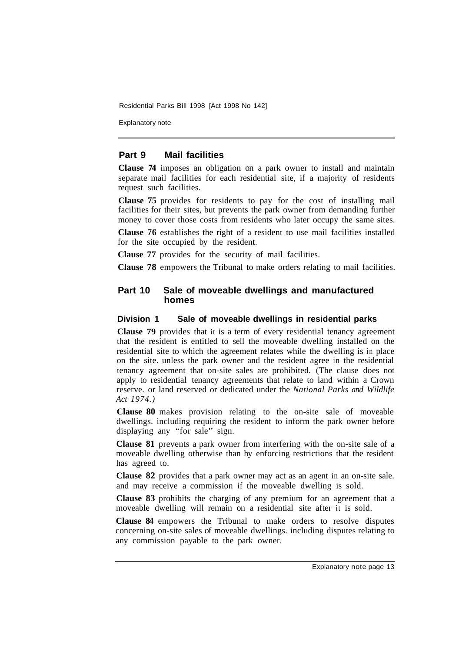Explanatory note

#### **Part 9 Mail facilities**

**Clause 74** imposes an obligation on a park owner to install and maintain separate mail facilities for each residential site, if a majority of residents request such facilities.

**Clause 75** provides for residents to pay for the cost of installing mail facilities for their sites, but prevents the park owner from demanding further money to cover those costs from residents who later occupy the same sites.

**Clause 76** establishes the right of a resident to use mail facilities installed for the site occupied by the resident.

**Clause 77** provides for the security of mail facilities.

**Clause 78** empowers the Tribunal to make orders relating to mail facilities.

#### **Part 10 Sale of moveable dwellings and manufactured homes**

#### **Division 1 Sale of moveable dwellings in residential parks**

**Clause 79** provides that it is a term of every residential tenancy agreement that the resident is entitled to sell the moveable dwelling installed on the residential site to which the agreement relates while the dwelling is in place on the site. unless the park owner and the resident agree in the residential tenancy agreement that on-site sales are prohibited. (The clause does not apply to residential tenancy agreements that relate to land within a Crown reserve. or land reserved or dedicated under the *National Parks and Wildlife Act 1974.)* 

**Clause 80** makes provision relating to the on-site sale of moveable dwellings. including requiring the resident to inform the park owner before displaying any "for sale" sign.

**Clause 81** prevents a park owner from interfering with the on-site sale of a moveable dwelling otherwise than by enforcing restrictions that the resident has agreed to.

**Clause 82** provides that a park owner may act as an agent in an on-site sale. and may receive a commission if the moveable dwelling is sold.

**Clause 83** prohibits the charging of any premium for an agreement that a moveable dwelling will remain on a residential site after it is sold.

**Clause 84** empowers the Tribunal to make orders to resolve disputes concerning on-site sales of moveable dwellings. including disputes relating to any commission payable to the park owner.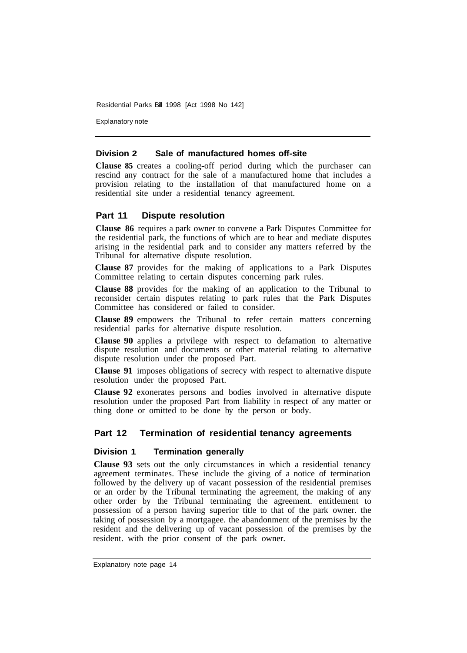Explanatory note

#### **Division 2 Sale of manufactured homes off-site**

**Clause 85** creates a cooling-off period during which the purchaser can rescind any contract for the sale of a manufactured home that includes a provision relating to the installation of that manufactured home on a residential site under a residential tenancy agreement.

#### **Part 11 Dispute resolution**

**Clause 86** requires a park owner to convene a Park Disputes Committee for the residential park, the functions of which are to hear and mediate disputes arising in the residential park and to consider any matters referred by the Tribunal for alternative dispute resolution.

**Clause 87** provides for the making of applications to a Park Disputes Committee relating to certain disputes concerning park rules.

**Clause 88** provides for the making of an application to the Tribunal to reconsider certain disputes relating to park rules that the Park Disputes Committee has considered or failed to consider.

**Clause 89** empowers the Tribunal to refer certain matters concerning residential parks for alternative dispute resolution.

**Clause 90** applies a privilege with respect to defamation to alternative dispute resolution and documents or other material relating to alternative dispute resolution under the proposed Part.

**Clause 91** imposes obligations of secrecy with respect to alternative dispute resolution under the proposed Part.

**Clause 92** exonerates persons and bodies involved in alternative dispute resolution under the proposed Part from liability in respect of any matter or thing done or omitted to be done by the person or body.

#### **Part 12 Termination of residential tenancy agreements**

#### **Division 1 Termination generally**

**Clause 93** sets out the only circumstances in which a residential tenancy agreement terminates. These include the giving of a notice of termination followed by the delivery up of vacant possession of the residential premises or an order by the Tribunal terminating the agreement, the making of any other order by the Tribunal terminating the agreement. entitlement to possession of a person having superior title to that of the park owner. the taking of possession by a mortgagee. the abandonment of the premises by the resident and the delivering up of vacant possession of the premises by the resident. with the prior consent of the park owner.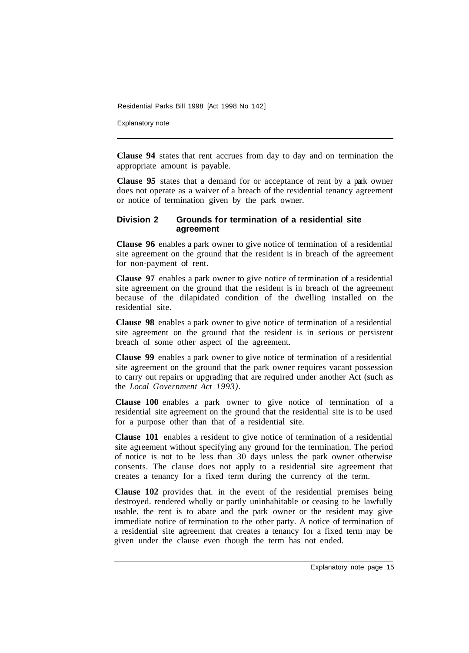Explanatory note

**Clause 94** states that rent accrues from day to day and on termination the appropriate amount is payable.

**Clause 95** states that a demand for or acceptance of rent by a park owner does not operate as a waiver of a breach of the residential tenancy agreement or notice of termination given by the park owner.

#### **Division 2 Grounds for termination of a residential site agreement**

**Clause 96** enables a park owner to give notice of termination of a residential site agreement on the ground that the resident is in breach of the agreement for non-payment of rent.

**Clause 97** enables a park owner to give notice of termination of a residential site agreement on the ground that the resident is in breach of the agreement because of the dilapidated condition of the dwelling installed on the residential site.

**Clause 98** enables a park owner to give notice of termination of a residential site agreement on the ground that the resident is in serious or persistent breach of some other aspect of the agreement.

**Clause 99** enables a park owner to give notice of termination of a residential site agreement on the ground that the park owner requires vacant possession to carry out repairs or upgrading that are required under another Act (such as the *Local Government Act 1993).* 

**Clause 100** enables a park owner to give notice of termination of a residential site agreement on the ground that the residential site is to be used for a purpose other than that of a residential site.

**Clause 101** enables a resident to give notice of termination of a residential site agreement without specifying any ground for the termination. The period of notice is not to be less than 30 days unless the park owner otherwise consents. The clause does not apply to a residential site agreement that creates a tenancy for a fixed term during the currency of the term.

**Clause 102** provides that. in the event of the residential premises being destroyed. rendered wholly or partly uninhabitable or ceasing to be lawfully usable. the rent is to abate and the park owner or the resident may give immediate notice of termination to the other party. A notice of termination of a residential site agreement that creates a tenancy for a fixed term may be given under the clause even though the term has not ended.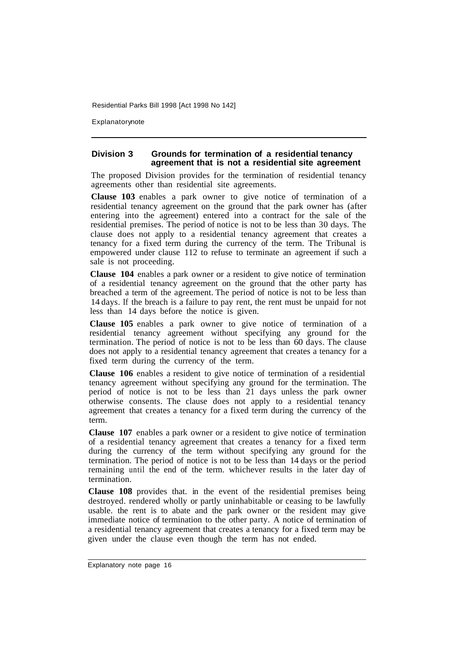Explanatorynote

#### **Division 3 Grounds for termination of a residential tenancy agreement that is not a residential site agreement**

The proposed Division provides for the termination of residential tenancy agreements other than residential site agreements.

**Clause 103** enables a park owner to give notice of termination of a residential tenancy agreement on the ground that the park owner has (after entering into the agreement) entered into a contract for the sale of the residential premises. The period of notice is not to be less than 30 days. The clause does not apply to a residential tenancy agreement that creates a tenancy for a fixed term during the currency of the term. The Tribunal is empowered under clause 112 to refuse to terminate an agreement if such a sale is not proceeding.

**Clause 104** enables a park owner or a resident to give notice of termination of a residential tenancy agreement on the ground that the other party has breached a term of the agreement. The period of notice is not to be less than 14 days. If the breach is a failure to pay rent, the rent must be unpaid for not less than 14 days before the notice is given.

**Clause 105** enables a park owner to give notice of termination of a residential tenancy agreement without specifying any ground for the termination. The period of notice is not to be less than 60 days. The clause does not apply to a residential tenancy agreement that creates a tenancy for a fixed term during the currency of the term.

**Clause 106** enables a resident to give notice of termination of a residential tenancy agreement without specifying any ground for the termination. The period of notice is not to be less than 21 days unless the park owner otherwise consents. The clause does not apply to a residential tenancy agreement that creates a tenancy for a fixed term during the currency of the term.

**Clause 107** enables a park owner or a resident to give notice of termination of a residential tenancy agreement that creates a tenancy for a fixed term during the currency of the term without specifying any ground for the termination. The period of notice is not to be less than 14 days or the period remaining until the end of the term. whichever results in the later day of termination.

**Clause 108** provides that. in the event of the residential premises being destroyed. rendered wholly or partly uninhabitable or ceasing to be lawfully usable. the rent is to abate and the park owner or the resident may give immediate notice of termination to the other party. A notice of termination of a residential tenancy agreement that creates a tenancy for a fixed term may be given under the clause even though the term has not ended.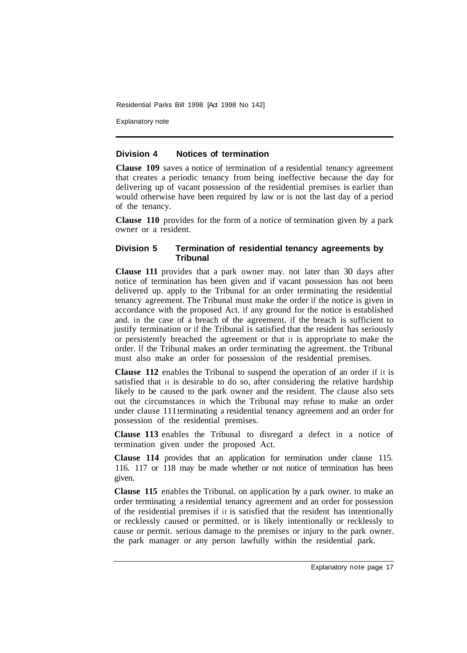Explanatory note

#### **Division 4 Notices of termination**

**Clause 109** saves a notice of termination of a residential tenancy agreement that creates a periodic tenancy from being ineffective because the day for delivering up of vacant possession of the residential premises is earlier than would otherwise have been required by law or is not the last day of a period of the tenancy.

**Clause 110** provides for the form of a notice of termination given by a park owner or a resident.

#### **Division 5 Termination of residential tenancy agreements by Tribunal**

**Clause 111** provides that a park owner may. not later than 30 days after notice of termination has been given and if vacant possession has not been delivered up. apply to the Tribunal for an order terminating the residential tenancy agreement. The Tribunal must make the order if the notice is given in accordance with the proposed Act. if any ground for the notice is established and. in the case of a breach of the agreement. if the breach is sufficient to justify termination or if the Tribunal is satisfied that the resident has seriously or persistently breached the agreement or that it is appropriate to make the order. If the Tribunal makes an order terminating the agreement. the Tribunal must also make an order for possession of the residential premises.

**Clause 112** enables the Tribunal to suspend the operation of an order if it is satisfied that it is desirable to do so, after considering the relative hardship likely to be caused to the park owner and the resident. The clause also sets out the circumstances in which the Tribunal may refuse to make an order under clause 111 terminating a residential tenancy agreement and an order for possession of the residential premises.

**Clause 113** enables the Tribunal to disregard a defect in a notice of termination given under the proposed Act.

**Clause 114** provides that an application for termination under clause 115. 116. 117 or 118 may be made whether or not notice of termination has been given.

**Clause 115** enables the Tribunal. on application by a park owner. to make an order terminating a residential tenancy agreement and an order for possession of the residential premises if it is satisfied that the resident has intentionally or recklessly caused or permitted. or is likely intentionally or recklessly to cause or permit. serious damage to the premises or injury to the park owner. the park manager or any person lawfully within the residential park.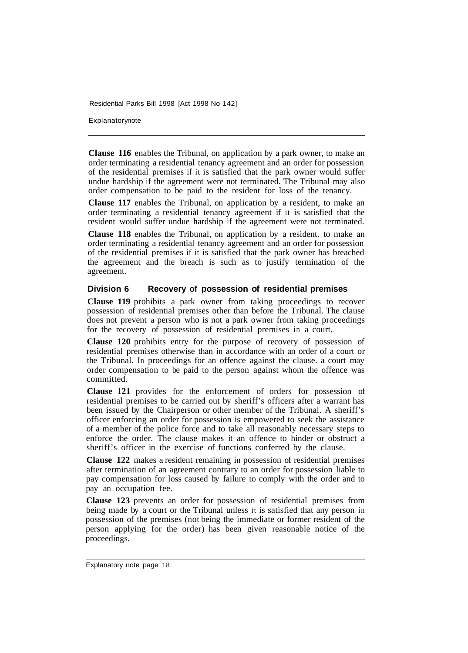Explanatorynote

**Clause 116** enables the Tribunal, on application by a park owner, to make an order terminating a residential tenancy agreement and an order for possession of the residential premises if it is satisfied that the park owner would suffer undue hardship if the agreement were not terminated. The Tribunal may also order compensation to be paid to the resident for loss of the tenancy.

**Clause 117** enables the Tribunal, on application by a resident, to make an order terminating a residential tenancy agreement if it is satisfied that the resident would suffer undue hardship if the agreement were not terminated.

**Clause 118** enables the Tribunal, on application by a resident. to make an order terminating a residential tenancy agreement and an order for possession of the residential premises if it is satisfied that the park owner has breached the agreement and the breach is such as to justify termination of the agreement.

#### **Division 6 Recovery of possession of residential premises**

**Clause 119** prohibits a park owner from taking proceedings to recover possession of residential premises other than before the Tribunal. The clause does not prevent a person who is not a park owner from taking proceedings for the recovery of possession of residential premises in a court.

**Clause 120** prohibits entry for the purpose of recovery of possession of residential premises otherwise than in accordance with an order of a court or the Tribunal. In proceedings for an offence against the clause. a court may order compensation to be paid to the person against whom the offence was committed.

**Clause 121** provides for the enforcement of orders for possession of residential premises to be carried out by sheriff's officers after a warrant has been issued by the Chairperson or other member of the Tribunal. A sheriff's officer enforcing an order for possession is empowered to seek the assistance of a member of the police force and to take all reasonably necessary steps to enforce the order. The clause makes it an offence to hinder or obstruct a sheriff's officer in the exercise of functions conferred by the clause.

**Clause 122** makes a resident remaining in possession of residential premises after termination of an agreement contrary to an order for possession liable to pay compensation for loss caused by failure to comply with the order and to pay an occupation fee.

**Clause 123** prevents an order for possession of residential premises from being made by a court or the Tribunal unless it is satisfied that any person in possession of the premises (not being the immediate or former resident of the person applying for the order) has been given reasonable notice of the proceedings.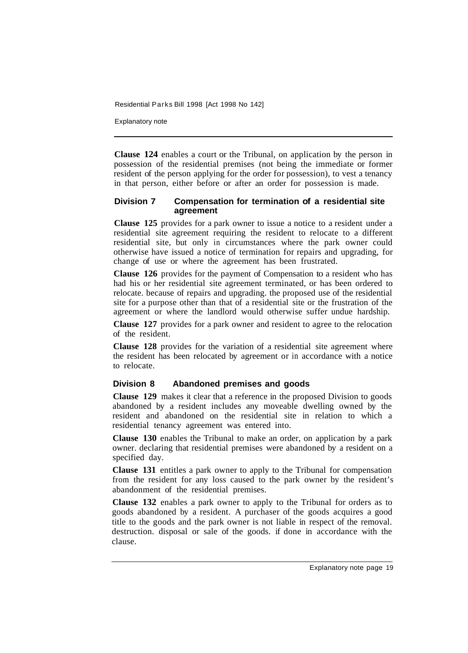Explanatory note

**Clause 124** enables a court or the Tribunal, on application by the person in possession of the residential premises (not being the immediate or former resident of the person applying for the order for possession), to vest a tenancy in that person, either before or after an order for possession is made.

#### **Division 7 Compensation for termination of a residential site agreement**

**Clause 125** provides for a park owner to issue a notice to a resident under a residential site agreement requiring the resident to relocate to a different residential site, but only in circumstances where the park owner could otherwise have issued a notice of termination for repairs and upgrading, for change of use or where the agreement has been frustrated.

**Clause 126** provides for the payment of Compensation to a resident who has had his or her residential site agreement terminated, or has been ordered to relocate. because of repairs and upgrading. the proposed use of the residential site for a purpose other than that of a residential site or the frustration of the agreement or where the landlord would otherwise suffer undue hardship.

**Clause 127** provides for a park owner and resident to agree to the relocation of the resident.

**Clause 128** provides for the variation of a residential site agreement where the resident has been relocated by agreement or in accordance with a notice to relocate.

#### **Division 8 Abandoned premises and goods**

**Clause 129** makes it clear that a reference in the proposed Division to goods abandoned by a resident includes any moveable dwelling owned by the resident and abandoned on the residential site in relation to which a residential tenancy agreement was entered into.

**Clause 130** enables the Tribunal to make an order, on application by a park owner. declaring that residential premises were abandoned by a resident on a specified day.

**Clause 131** entitles a park owner to apply to the Tribunal for compensation from the resident for any loss caused to the park owner by the resident's abandonment of the residential premises.

**Clause 132** enables a park owner to apply to the Tribunal for orders as to goods abandoned by a resident. A purchaser of the goods acquires a good title to the goods and the park owner is not liable in respect of the removal. destruction. disposal or sale of the goods. if done in accordance with the clause.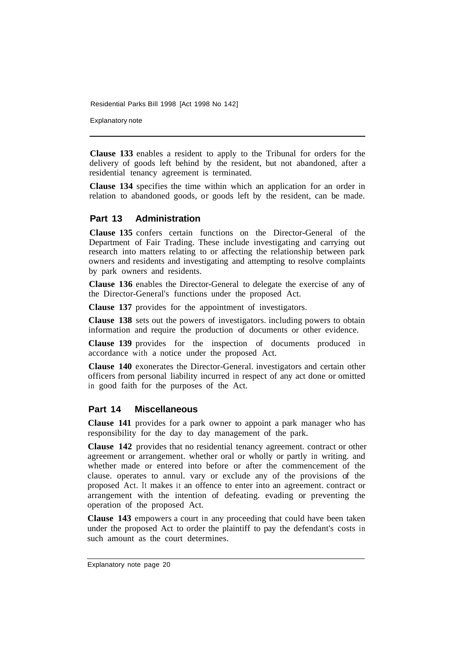Explanatory note

**Clause 133** enables a resident to apply to the Tribunal for orders for the delivery of goods left behind by the resident, but not abandoned, after a residential tenancy agreement is terminated.

**Clause 134** specifies the time within which an application for an order in relation to abandoned goods, or goods left by the resident, can be made.

#### **Part 13 Administration**

**Clause 135** confers certain functions on the Director-General of the Department of Fair Trading. These include investigating and carrying out research into matters relating to or affecting the relationship between park owners and residents and investigating and attempting to resolve complaints by park owners and residents.

**Clause 136** enables the Director-General to delegate the exercise of any of the Director-General's functions under the proposed Act.

**Clause 137** provides for the appointment of investigators.

**Clause 138** sets out the powers of investigators. including powers to obtain information and require the production of documents or other evidence.

**Clause 139** provides for the inspection of documents produced in accordance with a notice under the proposed Act.

**Clause 140** exonerates the Director-General. investigators and certain other officers from personal liability incurred in respect of any act done or omitted in good faith for the purposes of the Act.

#### **Part 14 Miscellaneous**

**Clause 141** provides for a park owner to appoint a park manager who has responsibility for the day to day management of the park.

**Clause 142** provides that no residential tenancy agreement. contract or other agreement or arrangement. whether oral or wholly or partly in writing. and whether made or entered into before or after the commencement of the clause. operates to annul. vary or exclude any of the provisions of the proposed Act. It makes it an offence to enter into an agreement. contract or arrangement with the intention of defeating. evading or preventing the operation of the proposed Act.

**Clause 143** empowers a court in any proceeding that could have been taken under the proposed Act to order the plaintiff to pay the defendant's costs in such amount as the court determines.

Explanatory note page 20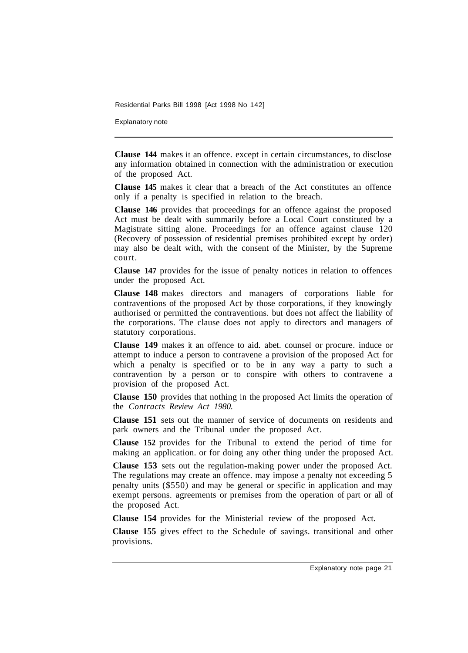Explanatory note

**Clause 144** makes it an offence. except in certain circumstances, to disclose any information obtained in connection with the administration or execution of the proposed Act.

**Clause 145** makes it clear that a breach of the Act constitutes an offence only if a penalty is specified in relation to the breach.

**Clause 146** provides that proceedings for an offence against the proposed Act must be dealt with summarily before a Local Court constituted by a Magistrate sitting alone. Proceedings for an offence against clause 120 (Recovery of possession of residential premises prohibited except by order) may also be dealt with, with the consent of the Minister, by the Supreme court.

**Clause 147** provides for the issue of penalty notices in relation to offences under the proposed Act.

**Clause 148** makes directors and managers of corporations liable for contraventions of the proposed Act by those corporations, if they knowingly authorised or permitted the contraventions. but does not affect the liability of the corporations. The clause does not apply to directors and managers of statutory corporations.

**Clause 149** makes it an offence to aid. abet. counsel or procure. induce or attempt to induce a person to contravene a provision of the proposed Act for which a penalty is specified or to be in any way a party to such a contravention by a person or to conspire with others to contravene a provision of the proposed Act.

**Clause 150** provides that nothing in the proposed Act limits the operation of the *Contracts Review Act 1980.* 

**Clause 151** sets out the manner of service of documents on residents and park owners and the Tribunal under the proposed Act.

**Clause 152** provides for the Tribunal to extend the period of time for making an application. or for doing any other thing under the proposed Act.

**Clause 153** sets out the regulation-making power under the proposed Act. The regulations may create an offence. may impose a penalty not exceeding 5 penalty units (\$550) and may be general or specific in application and may exempt persons. agreements or premises from the operation of part or all of the proposed Act.

**Clause 154** provides for the Ministerial review of the proposed Act.

**Clause 155** gives effect to the Schedule of savings. transitional and other provisions.